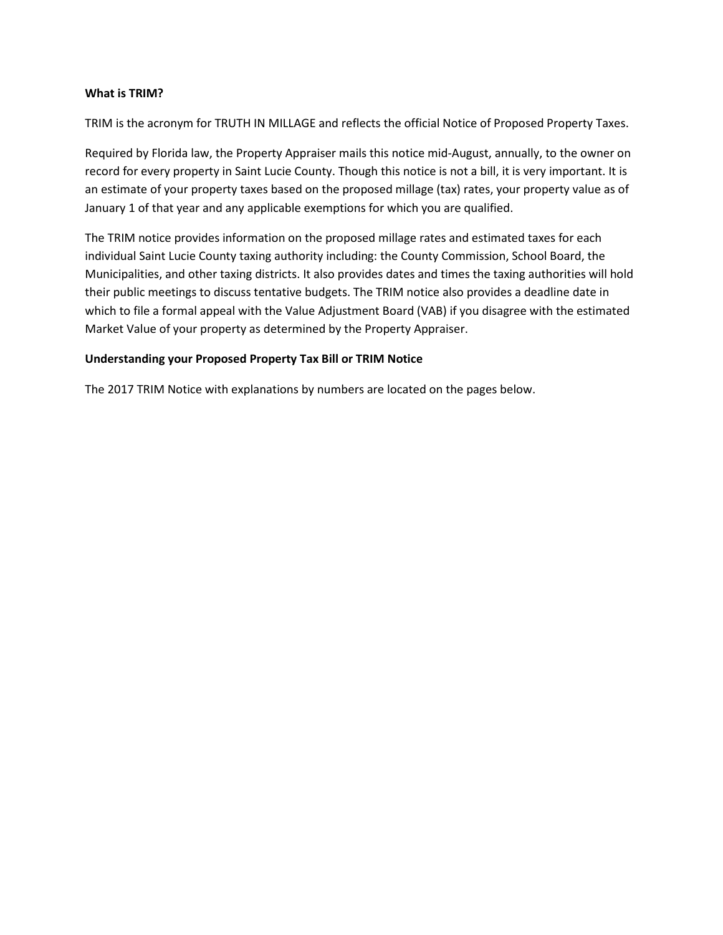#### **What is TRIM?**

TRIM is the acronym for TRUTH IN MILLAGE and reflects the official Notice of Proposed Property Taxes.

Required by Florida law, the Property Appraiser mails this notice mid-August, annually, to the owner on record for every property in Saint Lucie County. Though this notice is not a bill, it is very important. It is an estimate of your property taxes based on the proposed millage (tax) rates, your property value as of January 1 of that year and any applicable exemptions for which you are qualified.

The TRIM notice provides information on the proposed millage rates and estimated taxes for each individual Saint Lucie County taxing authority including: the County Commission, School Board, the Municipalities, and other taxing districts. It also provides dates and times the taxing authorities will hold their public meetings to discuss tentative budgets. The TRIM notice also provides a deadline date in which to file a formal appeal with the Value Adjustment Board (VAB) if you disagree with the estimated Market Value of your property as determined by the Property Appraiser.

#### **Understanding your Proposed Property Tax Bill or TRIM Notice**

The 2017 TRIM Notice with explanations by numbers are located on the pages below.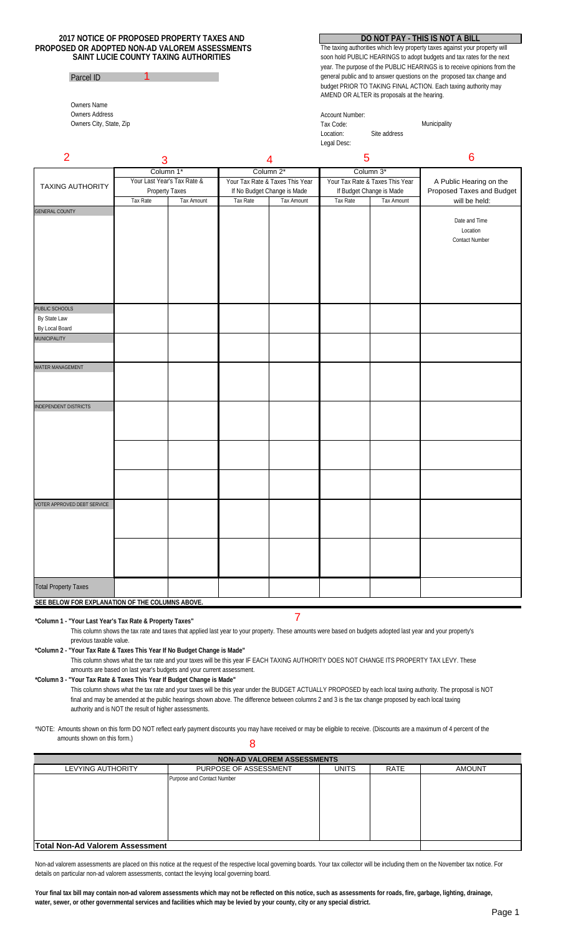#### **PROPOSED OR ADOPTED NON-AD VALOREM ASSESSMENTS 2017 NOTICE OF PROPOSED PROPERTY TAXES AND SAINT LUCIE COUNTY TAXING AUTHORITIES**

1

### Parcel ID

Owners Name Owners Address Owners City, State, Zip

#### **DO NOT PAY - THIS IS NOT A BILL**

general public and to answer questions on the proposed tax change and budget PRIOR TO TAKING FINAL ACTION. Each taxing authority may AMEND OR ALTER its proposals at the hearing. The taxing authorities which levy property taxes against your property will soon hold PUBLIC HEARINGS to adopt budgets and tax rates for the next year. The purpose of the PUBLIC HEARINGS is to receive opinions from the

| Account Number:<br>Tax Code:<br>Site address<br>Location:<br>Legal Desc: | Municipality |  |
|--------------------------------------------------------------------------|--------------|--|
|--------------------------------------------------------------------------|--------------|--|

| $\overline{2}$                                  | 3         |                             |           | $\overline{4}$                  | 5         |                                 | 6                         |  |
|-------------------------------------------------|-----------|-----------------------------|-----------|---------------------------------|-----------|---------------------------------|---------------------------|--|
| <b>TAXING AUTHORITY</b>                         | Column 1* |                             | Column 2* |                                 | Column 3* |                                 |                           |  |
|                                                 |           | Your Last Year's Tax Rate & |           | Your Tax Rate & Taxes This Year |           | Your Tax Rate & Taxes This Year | A Public Hearing on the   |  |
|                                                 |           | Property Taxes              |           | If No Budget Change is Made     |           | If Budget Change is Made        | Proposed Taxes and Budget |  |
|                                                 | Tax Rate  | Tax Amount                  | Tax Rate  | Tax Amount                      | Tax Rate  | Tax Amount                      | will be held:             |  |
| <b>GENERAL COUNTY</b>                           |           |                             |           |                                 |           |                                 | Date and Time             |  |
|                                                 |           |                             |           |                                 |           |                                 | Location                  |  |
|                                                 |           |                             |           |                                 |           |                                 | <b>Contact Number</b>     |  |
|                                                 |           |                             |           |                                 |           |                                 |                           |  |
|                                                 |           |                             |           |                                 |           |                                 |                           |  |
|                                                 |           |                             |           |                                 |           |                                 |                           |  |
|                                                 |           |                             |           |                                 |           |                                 |                           |  |
|                                                 |           |                             |           |                                 |           |                                 |                           |  |
| PUBLIC SCHOOLS                                  |           |                             |           |                                 |           |                                 |                           |  |
| By State Law                                    |           |                             |           |                                 |           |                                 |                           |  |
| By Local Board                                  |           |                             |           |                                 |           |                                 |                           |  |
| <b>MUNICIPALITY</b>                             |           |                             |           |                                 |           |                                 |                           |  |
|                                                 |           |                             |           |                                 |           |                                 |                           |  |
| WATER MANAGEMENT                                |           |                             |           |                                 |           |                                 |                           |  |
|                                                 |           |                             |           |                                 |           |                                 |                           |  |
|                                                 |           |                             |           |                                 |           |                                 |                           |  |
| <b>INDEPENDENT DISTRICTS</b>                    |           |                             |           |                                 |           |                                 |                           |  |
|                                                 |           |                             |           |                                 |           |                                 |                           |  |
|                                                 |           |                             |           |                                 |           |                                 |                           |  |
|                                                 |           |                             |           |                                 |           |                                 |                           |  |
|                                                 |           |                             |           |                                 |           |                                 |                           |  |
|                                                 |           |                             |           |                                 |           |                                 |                           |  |
|                                                 |           |                             |           |                                 |           |                                 |                           |  |
|                                                 |           |                             |           |                                 |           |                                 |                           |  |
|                                                 |           |                             |           |                                 |           |                                 |                           |  |
| VOTER APPROVED DEBT SERVICE                     |           |                             |           |                                 |           |                                 |                           |  |
|                                                 |           |                             |           |                                 |           |                                 |                           |  |
|                                                 |           |                             |           |                                 |           |                                 |                           |  |
|                                                 |           |                             |           |                                 |           |                                 |                           |  |
|                                                 |           |                             |           |                                 |           |                                 |                           |  |
|                                                 |           |                             |           |                                 |           |                                 |                           |  |
|                                                 |           |                             |           |                                 |           |                                 |                           |  |
| <b>Total Property Taxes</b>                     |           |                             |           |                                 |           |                                 |                           |  |
| SEE BELOW FOR EXPLANATION OF THE COLUMNS ABOVE. |           |                             |           |                                 |           |                                 |                           |  |

# **\*Column 1 - "Your Last Year's Tax Rate & Property Taxes"**

This column shows the tax rate and taxes that applied last year to your property. These amounts were based on budgets adopted last year and your property's previous taxable value.

**\*Column 2 - "Your Tax Rate & Taxes This Year If No Budget Change is Made"**

This column shows what the tax rate and your taxes will be this year IF EACH TAXING AUTHORITY DOES NOT CHANGE ITS PROPERTY TAX LEVY. These amounts are based on last year's budgets and your current assessment.

**\*Column 3 - "Your Tax Rate & Taxes This Year If Budget Change is Made"** This column shows what the tax rate and your taxes will be this year under the BUDGET ACTUALLY PROPOSED by each local taxing authority. The proposal is NOT final and may be amended at the public hearings shown above. The difference between columns 2 and 3 is the tax change proposed by each local taxing authority and is NOT the result of higher assessments.

\*NOTE: Amounts shown on this form DO NOT reflect early payment discounts you may have received or may be eligible to receive. (Discounts are a maximum of 4 percent of the amounts shown on this form.) 8

UNITS RATE **Total Non-Ad Valorem Assessment** LEVYING AUTHORITY Purpose and Contact Number PURPOSE OF ASSESSMENT | UNITS | RATE | AMOUNT **NON-AD VALOREM ASSESSMENTS**

Non-ad valorem assessments are placed on this notice at the request of the respective local governing boards. Your tax collector will be including them on the November tax notice. For details on particular non-ad valorem assessments, contact the levying local governing board.

Your final tax bill may contain non-ad valorem assessments which may not be reflected on this notice, such as assessments for roads, fire, garbage, lighting, drainage, **water, sewer, or other governmental services and facilities which may be levied by your county, city or any special district.**

7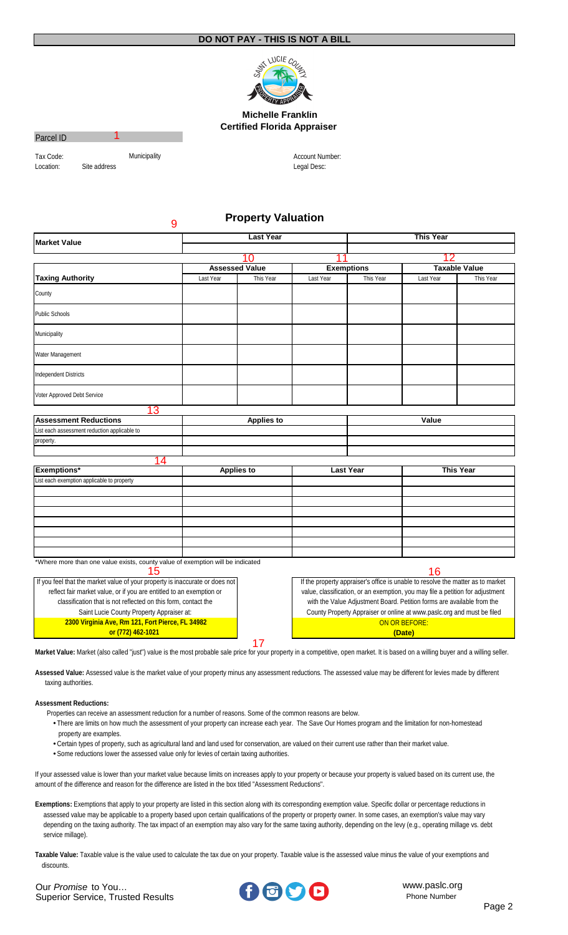

#### **Michelle Franklin Certified Florida Appraiser**

#### Parcel ID

Tax Code:<br>
Location: Site address<br>
Site address

1

9

Legal Desc: Account Number:

# **Property Valuation**

| 10<br><b>Assessed Value</b><br><b>Taxable Value</b><br><b>Exemptions</b><br><b>Taxing Authority</b><br>This Year<br>Last Year<br>This Year<br>Last Year<br>This Year<br>Last Year<br>County<br><b>Public Schools</b><br>Municipality<br>Water Management<br><b>Independent Districts</b><br>Voter Approved Debt Service<br>13<br><b>Assessment Reductions</b><br>Value<br><b>Applies to</b><br>List each assessment reduction applicable to<br>property.<br>14<br><b>Exemptions*</b><br><b>This Year</b><br><b>Last Year</b><br><b>Applies to</b><br>List each exemption applicable to property<br>*Where more than one value exists, county value of exemption will be indicated<br>16<br>15<br>If you feel that the market value of your property is inaccurate or does not<br>If the property appraiser's office is unable to resolve the matter as to market<br>reflect fair market value, or if you are entitled to an exemption or<br>value, classification, or an exemption, you may file a petition for adjustment<br>with the Value Adjustment Board. Petition forms are available from the<br>classification that is not reflected on this form, contact the<br>Saint Lucie County Property Appraiser at:<br>County Property Appraiser or online at www.paslc.org and must be filed<br>2300 Virginia Ave, Rm 121, Fort Pierce, FL 34982<br>ON OR BEFORE:<br>or (772) 462-1021<br>(Date) | <b>Market Value</b> | <b>Last Year</b> |  |  | <b>This Year</b> |  |  |  |
|---------------------------------------------------------------------------------------------------------------------------------------------------------------------------------------------------------------------------------------------------------------------------------------------------------------------------------------------------------------------------------------------------------------------------------------------------------------------------------------------------------------------------------------------------------------------------------------------------------------------------------------------------------------------------------------------------------------------------------------------------------------------------------------------------------------------------------------------------------------------------------------------------------------------------------------------------------------------------------------------------------------------------------------------------------------------------------------------------------------------------------------------------------------------------------------------------------------------------------------------------------------------------------------------------------------------------------------------------------------------------------------------------|---------------------|------------------|--|--|------------------|--|--|--|
|                                                                                                                                                                                                                                                                                                                                                                                                                                                                                                                                                                                                                                                                                                                                                                                                                                                                                                                                                                                                                                                                                                                                                                                                                                                                                                                                                                                                   |                     |                  |  |  |                  |  |  |  |
|                                                                                                                                                                                                                                                                                                                                                                                                                                                                                                                                                                                                                                                                                                                                                                                                                                                                                                                                                                                                                                                                                                                                                                                                                                                                                                                                                                                                   |                     |                  |  |  |                  |  |  |  |
|                                                                                                                                                                                                                                                                                                                                                                                                                                                                                                                                                                                                                                                                                                                                                                                                                                                                                                                                                                                                                                                                                                                                                                                                                                                                                                                                                                                                   |                     |                  |  |  |                  |  |  |  |
|                                                                                                                                                                                                                                                                                                                                                                                                                                                                                                                                                                                                                                                                                                                                                                                                                                                                                                                                                                                                                                                                                                                                                                                                                                                                                                                                                                                                   |                     |                  |  |  |                  |  |  |  |
|                                                                                                                                                                                                                                                                                                                                                                                                                                                                                                                                                                                                                                                                                                                                                                                                                                                                                                                                                                                                                                                                                                                                                                                                                                                                                                                                                                                                   |                     |                  |  |  |                  |  |  |  |
|                                                                                                                                                                                                                                                                                                                                                                                                                                                                                                                                                                                                                                                                                                                                                                                                                                                                                                                                                                                                                                                                                                                                                                                                                                                                                                                                                                                                   |                     |                  |  |  |                  |  |  |  |
|                                                                                                                                                                                                                                                                                                                                                                                                                                                                                                                                                                                                                                                                                                                                                                                                                                                                                                                                                                                                                                                                                                                                                                                                                                                                                                                                                                                                   |                     |                  |  |  |                  |  |  |  |
|                                                                                                                                                                                                                                                                                                                                                                                                                                                                                                                                                                                                                                                                                                                                                                                                                                                                                                                                                                                                                                                                                                                                                                                                                                                                                                                                                                                                   |                     |                  |  |  |                  |  |  |  |
|                                                                                                                                                                                                                                                                                                                                                                                                                                                                                                                                                                                                                                                                                                                                                                                                                                                                                                                                                                                                                                                                                                                                                                                                                                                                                                                                                                                                   |                     |                  |  |  |                  |  |  |  |
|                                                                                                                                                                                                                                                                                                                                                                                                                                                                                                                                                                                                                                                                                                                                                                                                                                                                                                                                                                                                                                                                                                                                                                                                                                                                                                                                                                                                   |                     |                  |  |  |                  |  |  |  |
|                                                                                                                                                                                                                                                                                                                                                                                                                                                                                                                                                                                                                                                                                                                                                                                                                                                                                                                                                                                                                                                                                                                                                                                                                                                                                                                                                                                                   |                     |                  |  |  |                  |  |  |  |
|                                                                                                                                                                                                                                                                                                                                                                                                                                                                                                                                                                                                                                                                                                                                                                                                                                                                                                                                                                                                                                                                                                                                                                                                                                                                                                                                                                                                   |                     |                  |  |  |                  |  |  |  |
|                                                                                                                                                                                                                                                                                                                                                                                                                                                                                                                                                                                                                                                                                                                                                                                                                                                                                                                                                                                                                                                                                                                                                                                                                                                                                                                                                                                                   |                     |                  |  |  |                  |  |  |  |
|                                                                                                                                                                                                                                                                                                                                                                                                                                                                                                                                                                                                                                                                                                                                                                                                                                                                                                                                                                                                                                                                                                                                                                                                                                                                                                                                                                                                   |                     |                  |  |  |                  |  |  |  |
|                                                                                                                                                                                                                                                                                                                                                                                                                                                                                                                                                                                                                                                                                                                                                                                                                                                                                                                                                                                                                                                                                                                                                                                                                                                                                                                                                                                                   |                     |                  |  |  |                  |  |  |  |
|                                                                                                                                                                                                                                                                                                                                                                                                                                                                                                                                                                                                                                                                                                                                                                                                                                                                                                                                                                                                                                                                                                                                                                                                                                                                                                                                                                                                   |                     |                  |  |  |                  |  |  |  |
|                                                                                                                                                                                                                                                                                                                                                                                                                                                                                                                                                                                                                                                                                                                                                                                                                                                                                                                                                                                                                                                                                                                                                                                                                                                                                                                                                                                                   |                     |                  |  |  |                  |  |  |  |
|                                                                                                                                                                                                                                                                                                                                                                                                                                                                                                                                                                                                                                                                                                                                                                                                                                                                                                                                                                                                                                                                                                                                                                                                                                                                                                                                                                                                   |                     |                  |  |  |                  |  |  |  |
|                                                                                                                                                                                                                                                                                                                                                                                                                                                                                                                                                                                                                                                                                                                                                                                                                                                                                                                                                                                                                                                                                                                                                                                                                                                                                                                                                                                                   |                     |                  |  |  |                  |  |  |  |
|                                                                                                                                                                                                                                                                                                                                                                                                                                                                                                                                                                                                                                                                                                                                                                                                                                                                                                                                                                                                                                                                                                                                                                                                                                                                                                                                                                                                   |                     |                  |  |  |                  |  |  |  |
|                                                                                                                                                                                                                                                                                                                                                                                                                                                                                                                                                                                                                                                                                                                                                                                                                                                                                                                                                                                                                                                                                                                                                                                                                                                                                                                                                                                                   |                     |                  |  |  |                  |  |  |  |
|                                                                                                                                                                                                                                                                                                                                                                                                                                                                                                                                                                                                                                                                                                                                                                                                                                                                                                                                                                                                                                                                                                                                                                                                                                                                                                                                                                                                   |                     |                  |  |  |                  |  |  |  |
|                                                                                                                                                                                                                                                                                                                                                                                                                                                                                                                                                                                                                                                                                                                                                                                                                                                                                                                                                                                                                                                                                                                                                                                                                                                                                                                                                                                                   |                     |                  |  |  |                  |  |  |  |
|                                                                                                                                                                                                                                                                                                                                                                                                                                                                                                                                                                                                                                                                                                                                                                                                                                                                                                                                                                                                                                                                                                                                                                                                                                                                                                                                                                                                   |                     |                  |  |  |                  |  |  |  |
|                                                                                                                                                                                                                                                                                                                                                                                                                                                                                                                                                                                                                                                                                                                                                                                                                                                                                                                                                                                                                                                                                                                                                                                                                                                                                                                                                                                                   |                     |                  |  |  |                  |  |  |  |
|                                                                                                                                                                                                                                                                                                                                                                                                                                                                                                                                                                                                                                                                                                                                                                                                                                                                                                                                                                                                                                                                                                                                                                                                                                                                                                                                                                                                   |                     |                  |  |  |                  |  |  |  |
|                                                                                                                                                                                                                                                                                                                                                                                                                                                                                                                                                                                                                                                                                                                                                                                                                                                                                                                                                                                                                                                                                                                                                                                                                                                                                                                                                                                                   |                     |                  |  |  |                  |  |  |  |
|                                                                                                                                                                                                                                                                                                                                                                                                                                                                                                                                                                                                                                                                                                                                                                                                                                                                                                                                                                                                                                                                                                                                                                                                                                                                                                                                                                                                   |                     |                  |  |  |                  |  |  |  |
|                                                                                                                                                                                                                                                                                                                                                                                                                                                                                                                                                                                                                                                                                                                                                                                                                                                                                                                                                                                                                                                                                                                                                                                                                                                                                                                                                                                                   |                     |                  |  |  |                  |  |  |  |
|                                                                                                                                                                                                                                                                                                                                                                                                                                                                                                                                                                                                                                                                                                                                                                                                                                                                                                                                                                                                                                                                                                                                                                                                                                                                                                                                                                                                   |                     |                  |  |  |                  |  |  |  |
|                                                                                                                                                                                                                                                                                                                                                                                                                                                                                                                                                                                                                                                                                                                                                                                                                                                                                                                                                                                                                                                                                                                                                                                                                                                                                                                                                                                                   | 17                  |                  |  |  |                  |  |  |  |

**Market Value:** Market (also called "just") value is the most probable sale price for your property in a competitive, open market. It is based on a willing buyer and a willing seller.

 taxing authorities. **Assessed Value:** Assessed value is the market value of your property minus any assessment reductions. The assessed value may be different for levies made by different

**Assessment Reductions:**

Properties can receive an assessment reduction for a number of reasons. Some of the common reasons are below.

- property are examples.  **•**There are limits on how much the assessment of your property can increase each year. The Save Our Homes program and the limitation for non-homestead
- **•**Certain types of property, such as agricultural land and land used for conservation, are valued on their current use rather than their market value.
- **•**Some reductions lower the assessed value only for levies of certain taxing authorities.

If your assessed value is lower than your market value because limits on increases apply to your property or because your property is valued based on its current use, the amount of the difference and reason for the difference are listed in the box titled "Assessment Reductions".

Exemptions: Exemptions that apply to your property are listed in this section along with its corresponding exemption value. Specific dollar or percentage reductions in assessed value may be applicable to a property based upon certain qualifications of the property or property owner. In some cases, an exemption's value may vary depending on the taxing authority. The tax impact of an exemption may also vary for the same taxing authority, depending on the levy (e.g., operating millage vs. debt service millage).

**Taxable Value:** Taxable value is the value used to calculate the tax due on your property. Taxable value is the assessed value minus the value of your exemptions and discounts.

Our *Promise* to You…<br>Superior Service Trusted Results **COOP** Phone Number Superior Service, Trusted Results

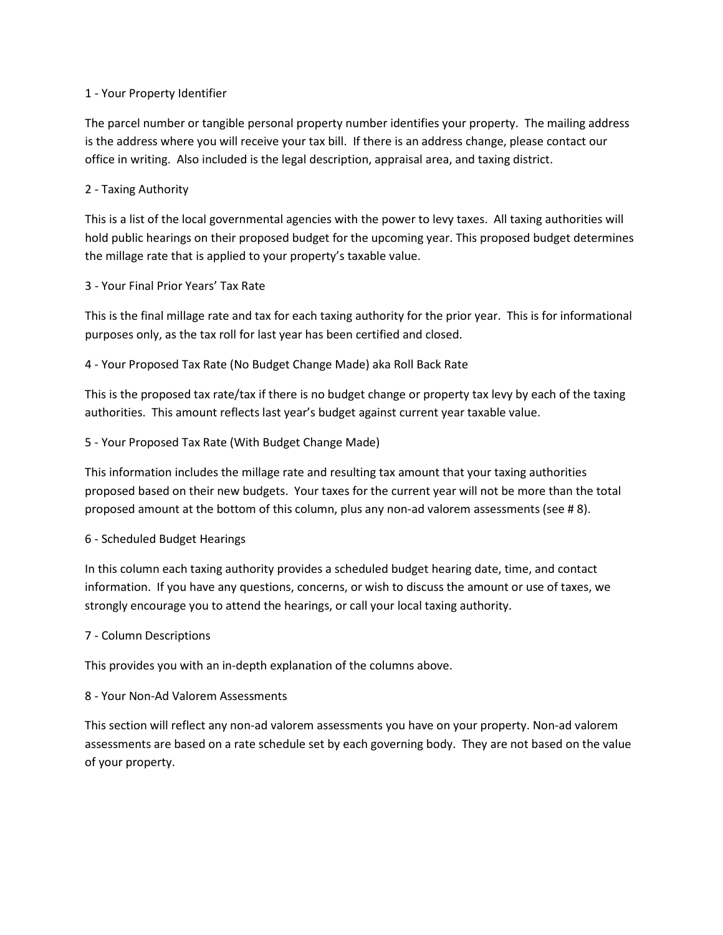#### 1 - Your Property Identifier

The parcel number or tangible personal property number identifies your property. The mailing address is the address where you will receive your tax bill. If there is an address change, please contact our office in writing. Also included is the legal description, appraisal area, and taxing district.

### 2 - Taxing Authority

This is a list of the local governmental agencies with the power to levy taxes. All taxing authorities will hold public hearings on their proposed budget for the upcoming year. This proposed budget determines the millage rate that is applied to your property's taxable value.

## 3 - Your Final Prior Years' Tax Rate

This is the final millage rate and tax for each taxing authority for the prior year. This is for informational purposes only, as the tax roll for last year has been certified and closed.

# 4 - Your Proposed Tax Rate (No Budget Change Made) aka Roll Back Rate

This is the proposed tax rate/tax if there is no budget change or property tax levy by each of the taxing authorities. This amount reflects last year's budget against current year taxable value.

## 5 - Your Proposed Tax Rate (With Budget Change Made)

This information includes the millage rate and resulting tax amount that your taxing authorities proposed based on their new budgets. Your taxes for the current year will not be more than the total proposed amount at the bottom of this column, plus any non-ad valorem assessments (see # 8).

#### 6 - Scheduled Budget Hearings

In this column each taxing authority provides a scheduled budget hearing date, time, and contact information. If you have any questions, concerns, or wish to discuss the amount or use of taxes, we strongly encourage you to attend the hearings, or call your local taxing authority.

#### 7 - Column Descriptions

This provides you with an in-depth explanation of the columns above.

#### 8 - Your Non-Ad Valorem Assessments

This section will reflect any non-ad valorem assessments you have on your property. Non-ad valorem assessments are based on a rate schedule set by each governing body. They are not based on the value of your property.